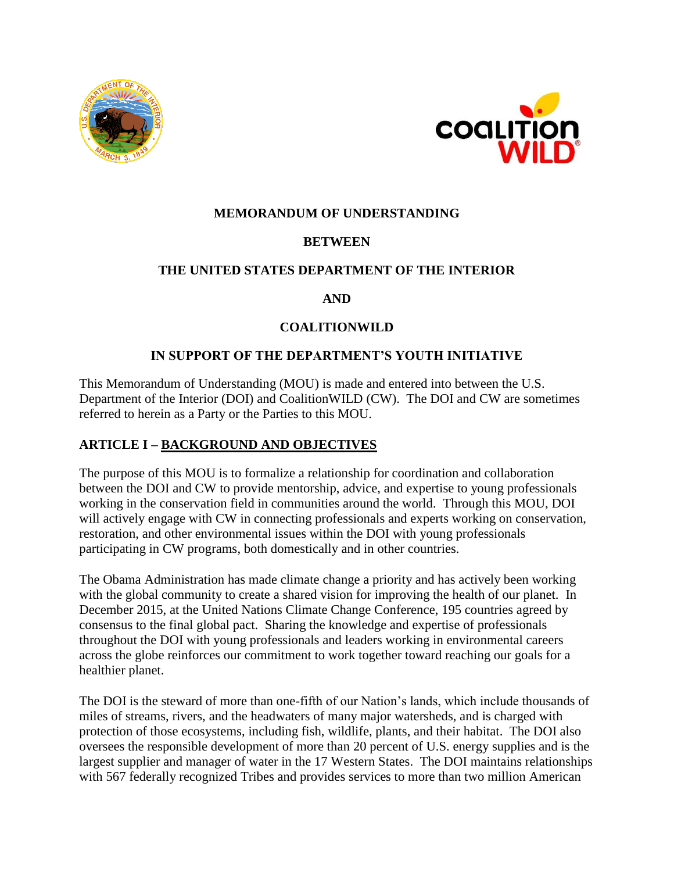



## **MEMORANDUM OF UNDERSTANDING**

# **BETWEEN**

## **THE UNITED STATES DEPARTMENT OF THE INTERIOR**

## **AND**

## **COALITIONWILD**

## **IN SUPPORT OF THE DEPARTMENT'S YOUTH INITIATIVE**

This Memorandum of Understanding (MOU) is made and entered into between the U.S. Department of the Interior (DOI) and CoalitionWILD (CW). The DOI and CW are sometimes referred to herein as a Party or the Parties to this MOU.

# **ARTICLE I – BACKGROUND AND OBJECTIVES**

The purpose of this MOU is to formalize a relationship for coordination and collaboration between the DOI and CW to provide mentorship, advice, and expertise to young professionals working in the conservation field in communities around the world. Through this MOU, DOI will actively engage with CW in connecting professionals and experts working on conservation, restoration, and other environmental issues within the DOI with young professionals participating in CW programs, both domestically and in other countries.

The Obama Administration has made climate change a priority and has actively been working with the global community to create a shared vision for improving the health of our planet. In December 2015, at the United Nations Climate Change Conference, 195 countries agreed by consensus to the final global pact. Sharing the knowledge and expertise of professionals throughout the DOI with young professionals and leaders working in environmental careers across the globe reinforces our commitment to work together toward reaching our goals for a healthier planet.

The DOI is the steward of more than one-fifth of our Nation's lands, which include thousands of miles of streams, rivers, and the headwaters of many major watersheds, and is charged with protection of those ecosystems, including fish, wildlife, plants, and their habitat. The DOI also oversees the responsible development of more than 20 percent of U.S. energy supplies and is the largest supplier and manager of water in the 17 Western States. The DOI maintains relationships with 567 federally recognized Tribes and provides services to more than two million American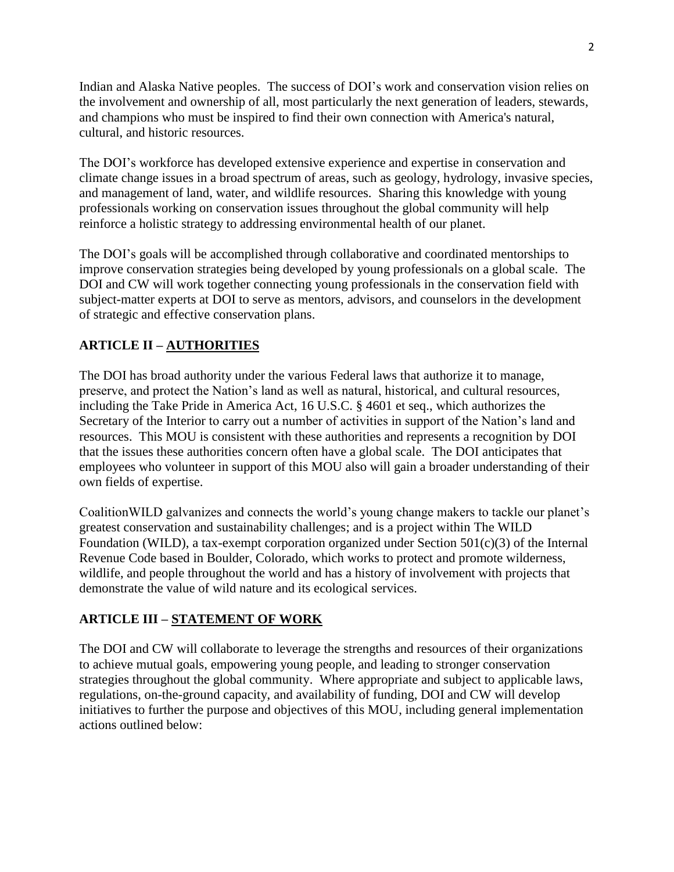Indian and Alaska Native peoples. The success of DOI's work and conservation vision relies on the involvement and ownership of all, most particularly the next generation of leaders, stewards, and champions who must be inspired to find their own connection with America's natural, cultural, and historic resources.

The DOI's workforce has developed extensive experience and expertise in conservation and climate change issues in a broad spectrum of areas, such as geology, hydrology, invasive species, and management of land, water, and wildlife resources. Sharing this knowledge with young professionals working on conservation issues throughout the global community will help reinforce a holistic strategy to addressing environmental health of our planet.

The DOI's goals will be accomplished through collaborative and coordinated mentorships to improve conservation strategies being developed by young professionals on a global scale. The DOI and CW will work together connecting young professionals in the conservation field with subject-matter experts at DOI to serve as mentors, advisors, and counselors in the development of strategic and effective conservation plans.

# **ARTICLE II – AUTHORITIES**

The DOI has broad authority under the various Federal laws that authorize it to manage, preserve, and protect the Nation's land as well as natural, historical, and cultural resources, including the Take Pride in America Act, 16 U.S.C. § 4601 et seq., which authorizes the Secretary of the Interior to carry out a number of activities in support of the Nation's land and resources. This MOU is consistent with these authorities and represents a recognition by DOI that the issues these authorities concern often have a global scale. The DOI anticipates that employees who volunteer in support of this MOU also will gain a broader understanding of their own fields of expertise.

CoalitionWILD galvanizes and connects the world's young change makers to tackle our planet's greatest conservation and sustainability challenges; and is a project within The WILD Foundation (WILD), a tax-exempt corporation organized under Section  $501(c)(3)$  of the Internal Revenue Code based in Boulder, Colorado, which works to protect and promote wilderness, wildlife, and people throughout the world and has a history of involvement with projects that demonstrate the value of wild nature and its ecological services.

# **ARTICLE III – STATEMENT OF WORK**

The DOI and CW will collaborate to leverage the strengths and resources of their organizations to achieve mutual goals, empowering young people, and leading to stronger conservation strategies throughout the global community. Where appropriate and subject to applicable laws, regulations, on-the-ground capacity, and availability of funding, DOI and CW will develop initiatives to further the purpose and objectives of this MOU, including general implementation actions outlined below: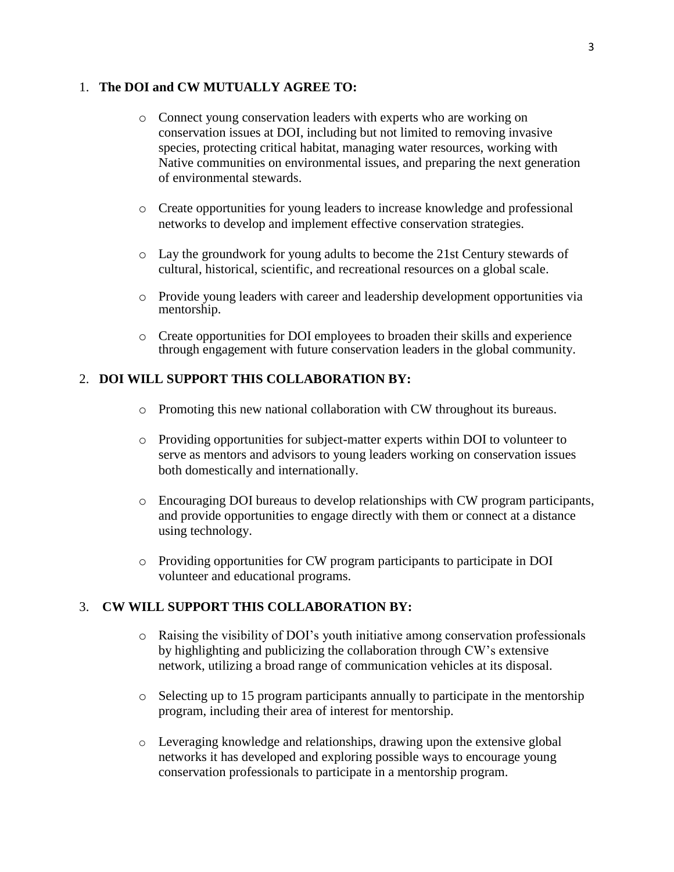#### 1. **The DOI and CW MUTUALLY AGREE TO:**

- o Connect young conservation leaders with experts who are working on conservation issues at DOI, including but not limited to removing invasive species, protecting critical habitat, managing water resources, working with Native communities on environmental issues, and preparing the next generation of environmental stewards.
- o Create opportunities for young leaders to increase knowledge and professional networks to develop and implement effective conservation strategies.
- o Lay the groundwork for young adults to become the 21st Century stewards of cultural, historical, scientific, and recreational resources on a global scale.
- o Provide young leaders with career and leadership development opportunities via mentorship.
- o Create opportunities for DOI employees to broaden their skills and experience through engagement with future conservation leaders in the global community.

#### 2. **DOI WILL SUPPORT THIS COLLABORATION BY:**

- o Promoting this new national collaboration with CW throughout its bureaus.
- o Providing opportunities for subject-matter experts within DOI to volunteer to serve as mentors and advisors to young leaders working on conservation issues both domestically and internationally.
- o Encouraging DOI bureaus to develop relationships with CW program participants, and provide opportunities to engage directly with them or connect at a distance using technology.
- o Providing opportunities for CW program participants to participate in DOI volunteer and educational programs.

#### 3. **CW WILL SUPPORT THIS COLLABORATION BY:**

- o Raising the visibility of DOI's youth initiative among conservation professionals by highlighting and publicizing the collaboration through CW's extensive network, utilizing a broad range of communication vehicles at its disposal.
- o Selecting up to 15 program participants annually to participate in the mentorship program, including their area of interest for mentorship.
- o Leveraging knowledge and relationships, drawing upon the extensive global networks it has developed and exploring possible ways to encourage young conservation professionals to participate in a mentorship program.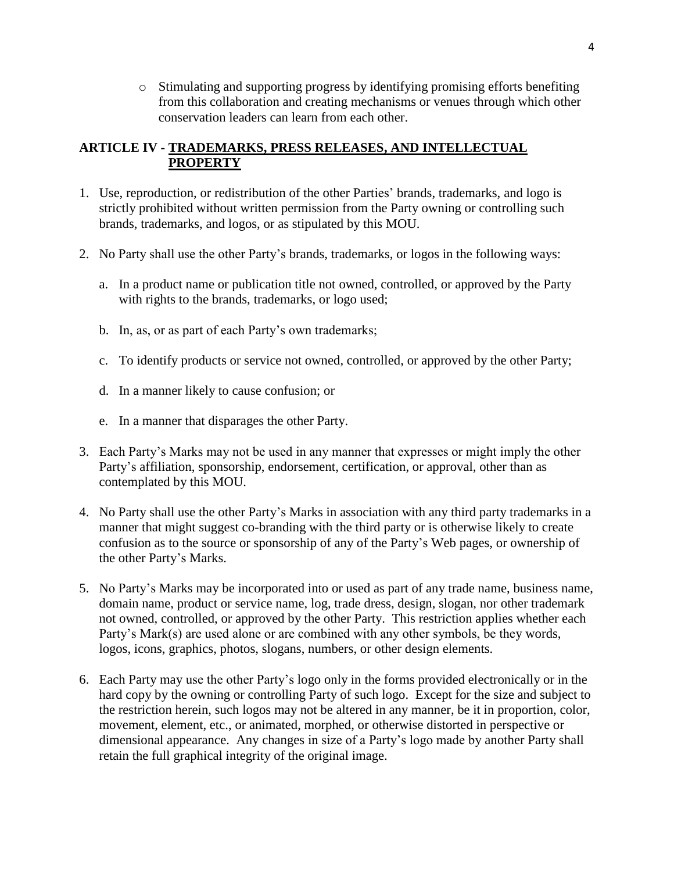o Stimulating and supporting progress by identifying promising efforts benefiting from this collaboration and creating mechanisms or venues through which other conservation leaders can learn from each other.

## **ARTICLE IV - TRADEMARKS, PRESS RELEASES, AND INTELLECTUAL PROPERTY**

- 1. Use, reproduction, or redistribution of the other Parties' brands, trademarks, and logo is strictly prohibited without written permission from the Party owning or controlling such brands, trademarks, and logos, or as stipulated by this MOU.
- 2. No Party shall use the other Party's brands, trademarks, or logos in the following ways:
	- a. In a product name or publication title not owned, controlled, or approved by the Party with rights to the brands, trademarks, or logo used;
	- b. In, as, or as part of each Party's own trademarks;
	- c. To identify products or service not owned, controlled, or approved by the other Party;
	- d. In a manner likely to cause confusion; or
	- e. In a manner that disparages the other Party.
- 3. Each Party's Marks may not be used in any manner that expresses or might imply the other Party's affiliation, sponsorship, endorsement, certification, or approval, other than as contemplated by this MOU.
- 4. No Party shall use the other Party's Marks in association with any third party trademarks in a manner that might suggest co-branding with the third party or is otherwise likely to create confusion as to the source or sponsorship of any of the Party's Web pages, or ownership of the other Party's Marks.
- 5. No Party's Marks may be incorporated into or used as part of any trade name, business name, domain name, product or service name, log, trade dress, design, slogan, nor other trademark not owned, controlled, or approved by the other Party. This restriction applies whether each Party's Mark(s) are used alone or are combined with any other symbols, be they words, logos, icons, graphics, photos, slogans, numbers, or other design elements.
- 6. Each Party may use the other Party's logo only in the forms provided electronically or in the hard copy by the owning or controlling Party of such logo. Except for the size and subject to the restriction herein, such logos may not be altered in any manner, be it in proportion, color, movement, element, etc., or animated, morphed, or otherwise distorted in perspective or dimensional appearance. Any changes in size of a Party's logo made by another Party shall retain the full graphical integrity of the original image.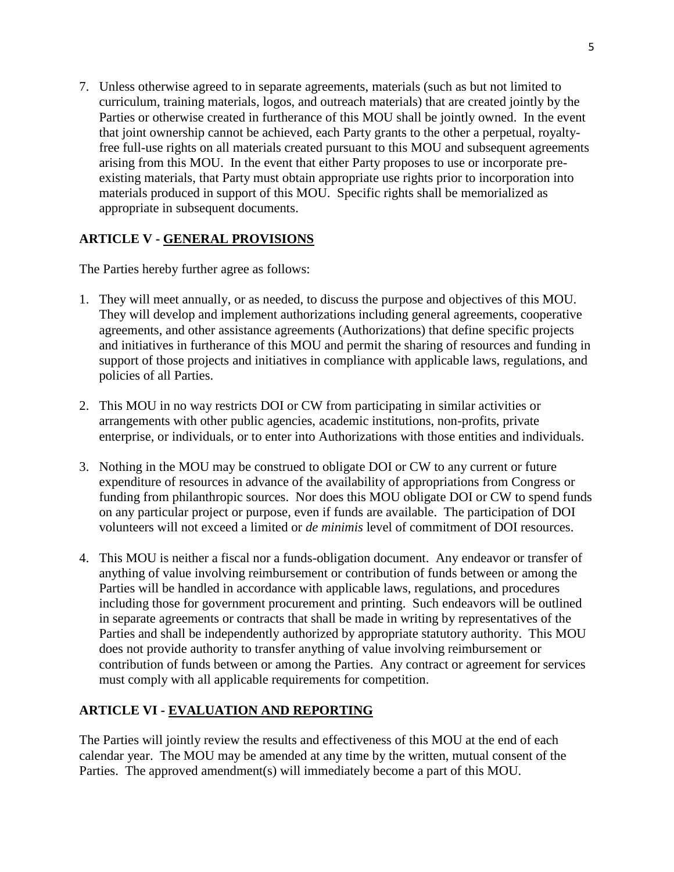7. Unless otherwise agreed to in separate agreements, materials (such as but not limited to curriculum, training materials, logos, and outreach materials) that are created jointly by the Parties or otherwise created in furtherance of this MOU shall be jointly owned. In the event that joint ownership cannot be achieved, each Party grants to the other a perpetual, royaltyfree full-use rights on all materials created pursuant to this MOU and subsequent agreements arising from this MOU. In the event that either Party proposes to use or incorporate preexisting materials, that Party must obtain appropriate use rights prior to incorporation into materials produced in support of this MOU. Specific rights shall be memorialized as appropriate in subsequent documents.

## **ARTICLE V - GENERAL PROVISIONS**

The Parties hereby further agree as follows:

- 1. They will meet annually, or as needed, to discuss the purpose and objectives of this MOU. They will develop and implement authorizations including general agreements, cooperative agreements, and other assistance agreements (Authorizations) that define specific projects and initiatives in furtherance of this MOU and permit the sharing of resources and funding in support of those projects and initiatives in compliance with applicable laws, regulations, and policies of all Parties.
- 2. This MOU in no way restricts DOI or CW from participating in similar activities or arrangements with other public agencies, academic institutions, non-profits, private enterprise, or individuals, or to enter into Authorizations with those entities and individuals.
- 3. Nothing in the MOU may be construed to obligate DOI or CW to any current or future expenditure of resources in advance of the availability of appropriations from Congress or funding from philanthropic sources. Nor does this MOU obligate DOI or CW to spend funds on any particular project or purpose, even if funds are available. The participation of DOI volunteers will not exceed a limited or *de minimis* level of commitment of DOI resources.
- 4. This MOU is neither a fiscal nor a funds-obligation document. Any endeavor or transfer of anything of value involving reimbursement or contribution of funds between or among the Parties will be handled in accordance with applicable laws, regulations, and procedures including those for government procurement and printing. Such endeavors will be outlined in separate agreements or contracts that shall be made in writing by representatives of the Parties and shall be independently authorized by appropriate statutory authority. This MOU does not provide authority to transfer anything of value involving reimbursement or contribution of funds between or among the Parties. Any contract or agreement for services must comply with all applicable requirements for competition.

## **ARTICLE VI - EVALUATION AND REPORTING**

The Parties will jointly review the results and effectiveness of this MOU at the end of each calendar year. The MOU may be amended at any time by the written, mutual consent of the Parties. The approved amendment(s) will immediately become a part of this MOU.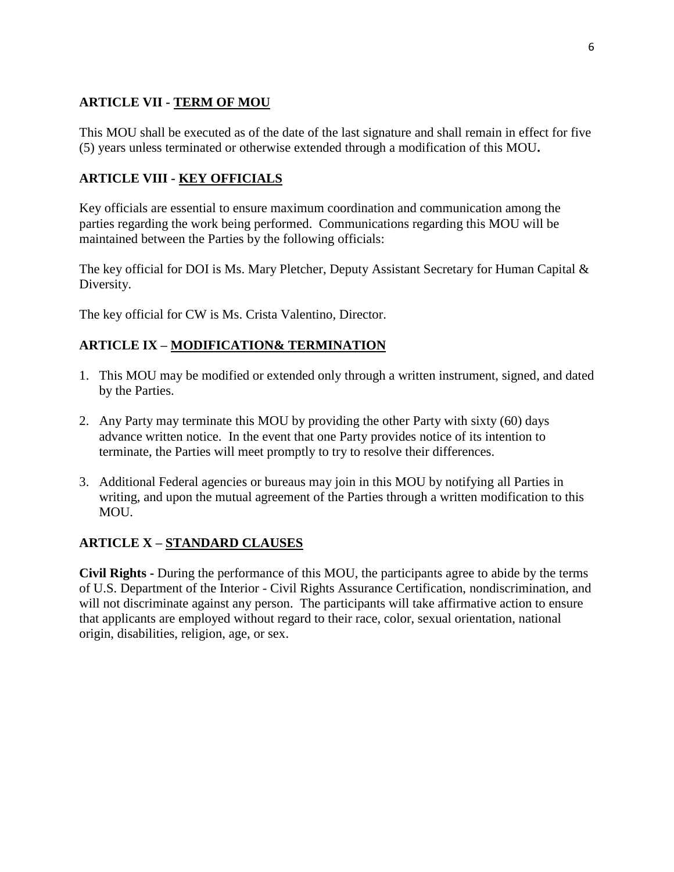## **ARTICLE VII - TERM OF MOU**

This MOU shall be executed as of the date of the last signature and shall remain in effect for five (5) years unless terminated or otherwise extended through a modification of this MOU**.** 

## **ARTICLE VIII - KEY OFFICIALS**

Key officials are essential to ensure maximum coordination and communication among the parties regarding the work being performed. Communications regarding this MOU will be maintained between the Parties by the following officials:

The key official for DOI is Ms. Mary Pletcher, Deputy Assistant Secretary for Human Capital & Diversity.

The key official for CW is Ms. Crista Valentino, Director.

## **ARTICLE IX – MODIFICATION& TERMINATION**

- 1. This MOU may be modified or extended only through a written instrument, signed, and dated by the Parties.
- 2. Any Party may terminate this MOU by providing the other Party with sixty (60) days advance written notice. In the event that one Party provides notice of its intention to terminate, the Parties will meet promptly to try to resolve their differences.
- 3. Additional Federal agencies or bureaus may join in this MOU by notifying all Parties in writing, and upon the mutual agreement of the Parties through a written modification to this MOU.

## **ARTICLE X – STANDARD CLAUSES**

**Civil Rights -** During the performance of this MOU, the participants agree to abide by the terms of U.S. Department of the Interior - Civil Rights Assurance Certification, nondiscrimination, and will not discriminate against any person. The participants will take affirmative action to ensure that applicants are employed without regard to their race, color, sexual orientation, national origin, disabilities, religion, age, or sex.